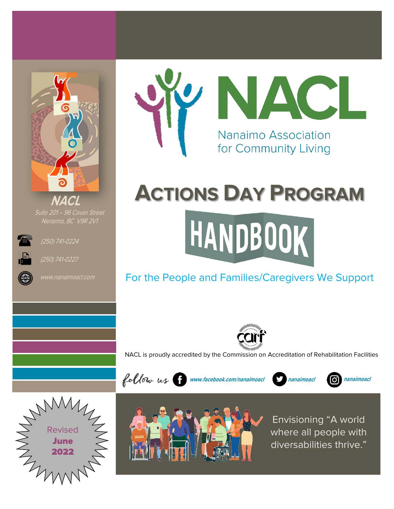

Suite 201 – 96 Cavan Street Nanaimo, BC V9R 2V1



(250) 741-0224



(250) 741-0227





# **ACTIONS DAY PROGRAM**

# HANDBOOK

## For the People and Families/Caregivers We Support



NACL is proudly accredited by the Commission on Accreditation of Rehabilitation Facilities





Envisioning "A world where all people with diversabilities thrive."



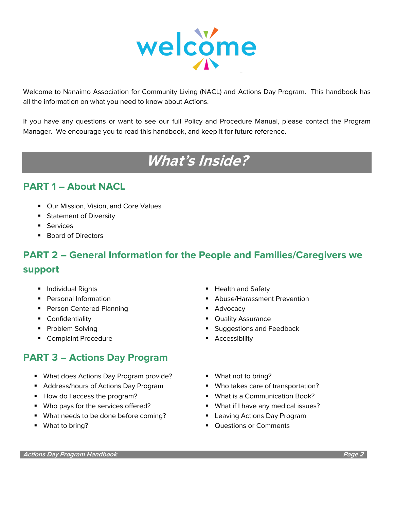

Welcome to Nanaimo Association for Community Living (NACL) and Actions Day Program. This handbook has all the information on what you need to know about Actions.

If you have any questions or want to see our full Policy and Procedure Manual, please contact the Program Manager. We encourage you to read this handbook, and keep it for future reference.

## **What's Inside?**

#### **PART 1 – About NACL**

- Our Mission, Vision, and Core Values
- Statement of Diversity
- Services
- Board of Directors

## **PART 2 – General Information for the People and Families/Caregivers we support**

- 
- 
- Person Centered Planning Person Centered Planning
- 
- 
- Complaint Procedure Accessibility

### **PART 3 – Actions Day Program**

- What does Actions Day Program provide? What not to bring?
- Address/hours of Actions Day Program Who takes care of transportation?
- 
- Who pays for the services offered? What if I have any medical issues?
- What needs to be done before coming? Leaving Actions Day Program
- 
- Individual Rights  **Health and Safety**
- Personal Information Abuse/Harassment Prevention
	-
- Confidentiality  **Quality Assurance**
- Problem Solving  **Problem Solving Problem Solving Suggestions and Feedback** 
	-
	-
	-
- How do I access the program? What is a Communication Book?
	-
	-
- What to bring? Questions or Comments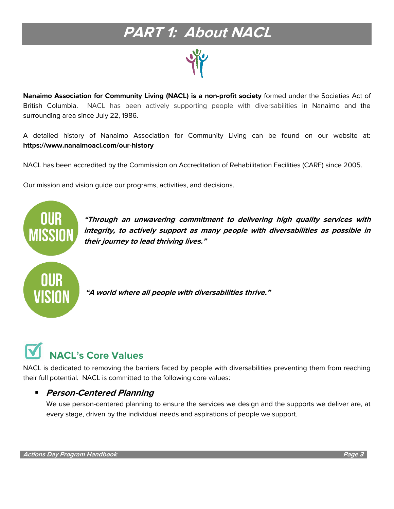# **PART 1: About NACL**

**Nanaimo Association for Community Living (NACL) is a non-profit society** formed under the Societies Act of British Columbia. NACL has been actively supporting people with diversabilities in Nanaimo and the surrounding area since July 22, 1986.

A detailed history of Nanaimo Association for Community Living can be found on our website at: **https://www.nanaimoacl.com/our-history**

NACL has been accredited by the [Commission on Accreditation of Rehabilitation Facilities \(CARF\)](http://www.carf.org/) since 2005.

Our mission and vision guide our programs, activities, and decisions.



**"Through an unwavering commitment to delivering high quality services with integrity, to actively support as many people with diversabilities as possible in their journey to lead thriving lives."**

**"A world where all people with diversabilities thrive."**

# **NACL's Core Values**

NACL is dedicated to removing the barriers faced by people with diversabilities preventing them from reaching their full potential. NACL is committed to the following core values:

#### ▪ **Person-Centered Planning**

We use person-centered planning to ensure the services we design and the supports we deliver are, at every stage, driven by the individual needs and aspirations of people we support.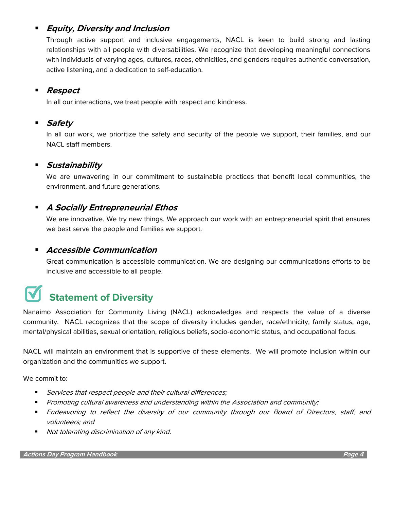#### **Equity, Diversity and Inclusion**

Through active support and inclusive engagements, NACL is keen to build strong and lasting relationships with all people with diversabilities. We recognize that developing meaningful connections with individuals of varying ages, cultures, races, ethnicities, and genders requires authentic conversation, active listening, and a dedication to self-education.

#### ▪ **Respect**

In all our interactions, we treat people with respect and kindness.

#### **Safety**

In all our work, we prioritize the safety and security of the people we support, their families, and our NACL staff members.

#### **Sustainability**

We are unwavering in our commitment to sustainable practices that benefit local communities, the environment, and future generations.

#### ▪ **A Socially Entrepreneurial Ethos**

We are innovative. We try new things. We approach our work with an entrepreneurial spirit that ensures we best serve the people and families we support.

#### ▪ **Accessible Communication**

Great communication is accessible communication. We are designing our communications efforts to be inclusive and accessible to all people.

# **Statement of Diversity**

Nanaimo Association for Community Living (NACL) acknowledges and respects the value of a diverse community. NACL recognizes that the scope of diversity includes gender, race/ethnicity, family status, age, mental/physical abilities, sexual orientation, religious beliefs, socio-economic status, and occupational focus.

NACL will maintain an environment that is supportive of these elements. We will promote inclusion within our organization and the communities we support.

We commit to:

- **EXECT:** Services that respect people and their cultural differences;
- Promoting cultural awareness and understanding within the Association and community;
- **Endeavoring to reflect the diversity of our community through our Board of Directors, staff, and** volunteers; and
- Not tolerating discrimination of any kind.

**Actions Day Program Handbook Page 4**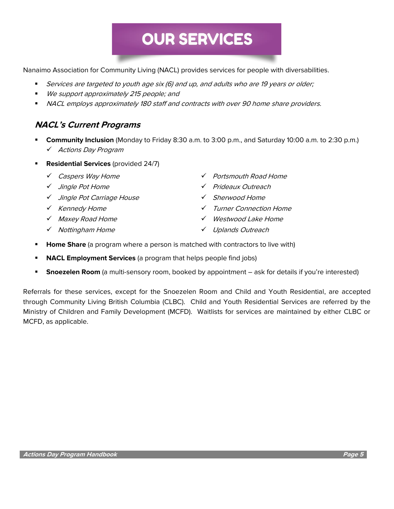# **OUR SERVICES**

Nanaimo Association for Community Living (NACL) provides services for people with diversabilities.

- Services are targeted to youth age six (6) and up, and adults who are 19 years or older;
- We support approximately 215 people; and
- NACL employs approximately 180 staff and contracts with over 90 home share providers.

#### **NACL's Current Programs**

- **Community Inclusion** (Monday to Friday 8:30 a.m. to 3:00 p.m., and Saturday 10:00 a.m. to 2:30 p.m.) ✓ Actions Day Program
- **Residential Services** (provided 24/7)
	-
	-
	- ✓ Jingle Pot Carriage House ✓ Sherwood Home
	-
	-
	-
	- ✓ Caspers Way Home ✓ Portsmouth Road Home
	- ✓ Jingle Pot Home ✓ Prideaux Outreach
		-
	- ✓ Kennedy Home ✓ Turner Connection Home
	- ✓ Maxey Road Home ✓ Westwood Lake Home
	- ✓ Nottingham Home ✓ Uplands Outreach
- **Home Share** (a program where a person is matched with contractors to live with)
- **NACL Employment Services** (a program that helps people find jobs)
- **Snoezelen Room** (a multi-sensory room, booked by appointment ask for details if you're interested)

Referrals for these services, except for the Snoezelen Room and Child and Youth Residential, are accepted through Community Living British Columbia (CLBC). Child and Youth Residential Services are referred by the Ministry of Children and Family Development (MCFD). Waitlists for services are maintained by either CLBC or MCFD, as applicable.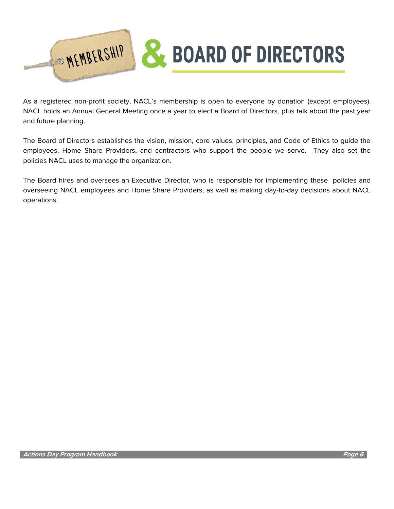

As a registered non-profit society, NACL's membership is open to everyone by donation (except employees). NACL holds an Annual General Meeting once a year to elect a Board of Directors, plus talk about the past year and future planning.

The Board of Directors establishes the vision, mission, core values, principles, and Code of Ethics to guide the employees, Home Share Providers, and contractors who support the people we serve. They also set the policies NACL uses to manage the organization.

The Board hires and oversees an Executive Director, who is responsible for implementing these policies and overseeing NACL employees and Home Share Providers, as well as making day-to-day decisions about NACL operations.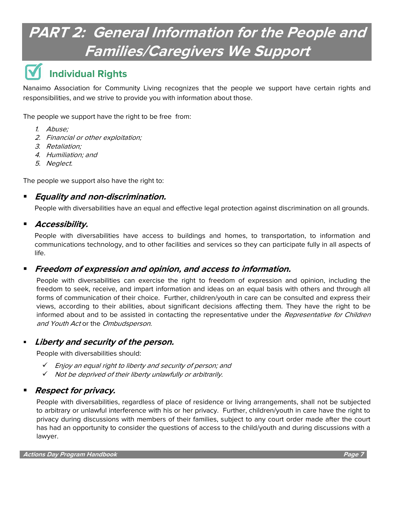# **PART 2: General Information for the People and Families/Caregivers We Support**

## **Individual Rights**

Nanaimo Association for Community Living recognizes that the people we support have certain rights and responsibilities, and we strive to provide you with information about those.

The people we support have the right to be free from:

- 1. Abuse;
- 2. Financial or other exploitation;
- 3. Retaliation;
- 4. Humiliation; and
- 5. Neglect.

The people we support also have the right to:

#### ▪ **Equality and non-discrimination.**

People with diversabilities have an equal and effective legal protection against discrimination on all grounds.

#### ▪ **Accessibility.**

People with diversabilities have access to buildings and homes, to transportation, to information and communications technology, and to other facilities and services so they can participate fully in all aspects of life.

#### ▪ **Freedom of expression and opinion, and access to information.**

People with diversabilities can exercise the right to freedom of expression and opinion, including the freedom to seek, receive, and impart information and ideas on an equal basis with others and through all forms of communication of their choice. Further, children/youth in care can be consulted and express their views, according to their abilities, about significant decisions affecting them. They have the right to be informed about and to be assisted in contacting the representative under the Representative for Children and Youth Act or the Ombudsperson.

#### **Liberty and security of the person.**

People with diversabilities should:

- ✓ Enjoy an equal right to liberty and security of person; and
- ✓ Not be deprived of their liberty unlawfully or arbitrarily.

#### **Respect for privacy.**

People with diversabilities, regardless of place of residence or living arrangements, shall not be subjected to arbitrary or unlawful interference with his or her privacy. Further, children/youth in care have the right to privacy during discussions with members of their families, subject to any court order made after the court has had an opportunity to consider the questions of access to the child/youth and during discussions with a lawyer.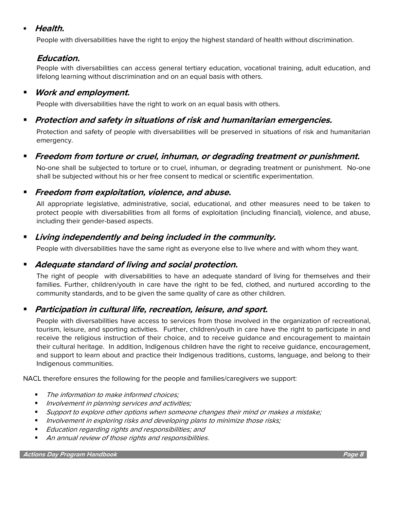#### **Health.**

People with diversabilities have the right to enjoy the highest standard of health without discrimination.

#### **Education.**

People with diversabilities can access general tertiary education, vocational training, adult education, and lifelong learning without discrimination and on an equal basis with others.

#### ▪ **Work and employment.**

People with diversabilities have the right to work on an equal basis with others.

#### ▪ **Protection and safety in situations of risk and humanitarian emergencies.**

Protection and safety of people with diversabilities will be preserved in situations of risk and humanitarian emergency.

#### ▪ **Freedom from torture or cruel, inhuman, or degrading treatment or punishment.**

No-one shall be subjected to torture or to cruel, inhuman, or degrading treatment or punishment. No-one shall be subjected without his or her free consent to medical or scientific experimentation.

#### ▪ **Freedom from exploitation, violence, and abuse.**

All appropriate legislative, administrative, social, educational, and other measures need to be taken to protect people with diversabilities from all forms of exploitation (including financial), violence, and abuse, including their gender-based aspects.

#### ▪ **Living independently and being included in the community.**

People with diversabilities have the same right as everyone else to live where and with whom they want.

#### ■ *Adequate standard of living and social protection.*

The right of people with diversabilities to have an adequate standard of living for themselves and their families. Further, children/youth in care have the right to be fed, clothed, and nurtured according to the community standards, and to be given the same quality of care as other children.

#### ▪ **Participation in cultural life, recreation, leisure, and sport.**

People with diversabilities have access to services from those involved in the organization of recreational, tourism, leisure, and sporting activities. Further, children/youth in care have the right to participate in and receive the religious instruction of their choice, and to receive guidance and encouragement to maintain their cultural heritage. In addition, Indigenous children have the right to receive guidance, encouragement, and support to learn about and practice their Indigenous traditions, customs, language, and belong to their Indigenous communities.

NACL therefore ensures the following for the people and families/caregivers we support:

- The information to make informed choices:
- Involvement in planning services and activities;
- Support to explore other options when someone changes their mind or makes a mistake;
- Involvement in exploring risks and developing plans to minimize those risks;
- Education regarding rights and responsibilities; and
- An annual review of those rights and responsibilities.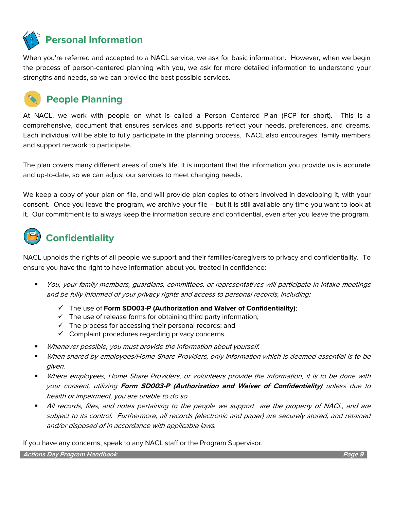**Personal Information**

When you're referred and accepted to a NACL service, we ask for basic information. However, when we begin the process of person-centered planning with you, we ask for more detailed information to understand your strengths and needs, so we can provide the best possible services.



### **People Planning**

At NACL, we work with people on what is called a Person Centered Plan (PCP for short). This is a comprehensive, document that ensures services and supports reflect your needs, preferences, and dreams. Each individual will be able to fully participate in the planning process. NACL also encourages family members and support network to participate.

The plan covers many different areas of one's life. It is important that the information you provide us is accurate and up-to-date, so we can adjust our services to meet changing needs.

We keep a copy of your plan on file, and will provide plan copies to others involved in developing it, with your consent. Once you leave the program, we archive your file – but it is still available any time you want to look at it. Our commitment is to always keep the information secure and confidential, even after you leave the program.

# **Confidentiality**

NACL upholds the rights of all people we support and their families/caregivers to privacy and confidentiality. To ensure you have the right to have information about you treated in confidence:

- You, your family members, quardians, committees, or representatives will participate in intake meetings and be fully informed of your privacy rights and access to personal records, including:
	- ✓ The use of **Form SD003-P (Authorization and Waiver of Confidentiality)**;
	- $\checkmark$  The use of release forms for obtaining third party information;
	- $\checkmark$  The process for accessing their personal records; and
	- $\checkmark$  Complaint procedures regarding privacy concerns.
- Whenever possible, you must provide the information about yourself.
- When shared by employees/Home Share Providers, only information which is deemed essential is to be given.
- Where employees, Home Share Providers, or volunteers provide the information, it is to be done with your consent, utilizing **Form SD003-P (Authorization and Waiver of Confidentiality)** unless due to health or impairment, you are unable to do so.
- All records, files, and notes pertaining to the people we support are the property of NACL, and are subject to its control. Furthermore, all records (electronic and paper) are securely stored, and retained and/or disposed of in accordance with applicable laws.

If you have any concerns, speak to any NACL staff or the Program Supervisor.

**Actions Day Program Handbook Page 9**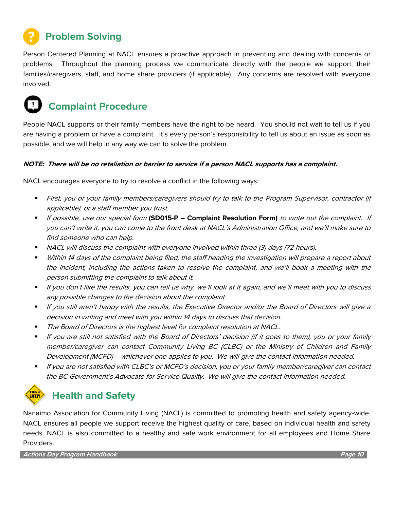## **Problem Solving**

Person Centered Planning at NACL ensures a proactive approach in preventing and dealing with concerns or problems. Throughout the planning process we communicate directly with the people we support, their families/caregivers, staff, and home share providers (if applicable). Any concerns are resolved with everyone involved.

## **Complaint Procedure**

People NACL supports or their family members have the right to be heard. You should not wait to tell us if you are having a problem or have a complaint. It's every person's responsibility to tell us about an issue as soon as possible, and we will help in any way we can to solve the problem.

#### **NOTE: There will be no retaliation or barrier to service if a person NACL supports has a complaint.**

NACL encourages everyone to try to resolve a conflict in the following ways:

- First, you or your family members/caregivers should try to talk to the Program Supervisor, contractor (if applicable), or a staff member you trust.
- If possible, use our special form **(SD015-P – Complaint Resolution Form)** to write out the complaint. If you can't write it, you can come to the front desk at NACL's Administration Office, and we'll make sure to find someone who can help.
- NACL will discuss the complaint with everyone involved within three (3) days (72 hours).
- Within 14 days of the complaint being filed, the staff heading the investigation will prepare a report about the incident, including the actions taken to resolve the complaint, and we'll book a meeting with the person submitting the complaint to talk about it.
- If you don't like the results, you can tell us why, we'll look at it again, and we'll meet with you to discuss any possible changes to the decision about the complaint.
- If you still aren't happy with the results, the Executive Director and/or the Board of Directors will give a decision in writing and meet with you within 14 days to discuss that decision.
- The Board of Directors is the highest level for complaint resolution at NACL.
- If you are still not satisfied with the Board of Directors' decision (if it goes to them), you or your family member/caregiver can contact Community Living BC (CLBC) or the Ministry of Children and Family Development (MCFD) – whichever one applies to you. We will give the contact information needed.
- If you are not satisfied with CLBC's or MCFD's decision, you or your family member/caregiver can contact the BC Government's Advocate for Service Quality. We will give the contact information needed.



#### **Health and Safety**

Nanaimo Association for Community Living (NACL) is committed to promoting health and safety agency-wide. NACL ensures all people we support receive the highest quality of care, based on individual health and safety needs. NACL is also committed to a healthy and safe work environment for all employees and Home Share Providers.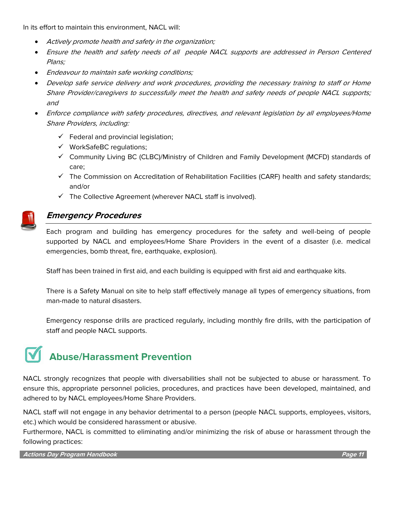In its effort to maintain this environment, NACL will:

- Actively promote health and safety in the organization;
- Ensure the health and safety needs of all people NACL supports are addressed in Person Centered Plans;
- Endeavour to maintain safe working conditions;
- Develop safe service delivery and work procedures, providing the necessary training to staff or Home Share Provider/caregivers to successfully meet the health and safety needs of people NACL supports; and
- Enforce compliance with safety procedures, directives, and relevant legislation by all employees/Home Share Providers, including:
	- $\checkmark$  Federal and provincial legislation;
	- ✓ WorkSafeBC regulations;
	- ✓ Community Living BC (CLBC)/Ministry of Children and Family Development (MCFD) standards of care;
	- ✓ The Commission on Accreditation of Rehabilitation Facilities (CARF) health and safety standards; and/or
	- ✓ The Collective Agreement (wherever NACL staff is involved).



#### **Emergency Procedures**

Each program and building has emergency procedures for the safety and well-being of people supported by NACL and employees/Home Share Providers in the event of a disaster (i.e. medical emergencies, bomb threat, fire, earthquake, explosion).

Staff has been trained in first aid, and each building is equipped with first aid and earthquake kits.

There is a Safety Manual on site to help staff effectively manage all types of emergency situations, from man-made to natural disasters.

Emergency response drills are practiced regularly, including monthly fire drills, with the participation of staff and people NACL supports.

## **Abuse/Harassment Prevention**

NACL strongly recognizes that people with diversabilities shall not be subjected to abuse or harassment. To ensure this, appropriate personnel policies, procedures, and practices have been developed, maintained, and adhered to by NACL employees/Home Share Providers.

NACL staff will not engage in any behavior detrimental to a person (people NACL supports, employees, visitors, etc.) which would be considered harassment or abusive.

Furthermore, NACL is committed to eliminating and/or minimizing the risk of abuse or harassment through the following practices:

**Actions Day Program Handbook Page 11**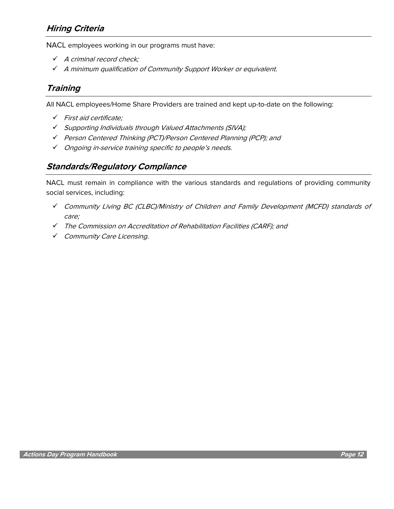#### **Hiring Criteria**

NACL employees working in our programs must have:

- ✓ A criminal record check;
- ✓ <sup>A</sup> minimum qualification of Community Support Worker or equivalent.

#### **Training**

All NACL employees/Home Share Providers are trained and kept up-to-date on the following:

- ✓ First aid certificate;
- ✓ Supporting Individuals through Valued Attachments (SIVA);
- ✓ Person Centered Thinking (PCT)/Person Centered Planning (PCP); and
- ✓ Ongoing in-service training specific to people's needs.

#### **Standards/Regulatory Compliance**

NACL must remain in compliance with the various standards and regulations of providing community social services, including:

- ✓ Community Living BC (CLBC)/Ministry of Children and Family Development (MCFD) standards of care;
- ✓ The Commission on Accreditation of Rehabilitation Facilities (CARF); and
- ✓ Community Care Licensing.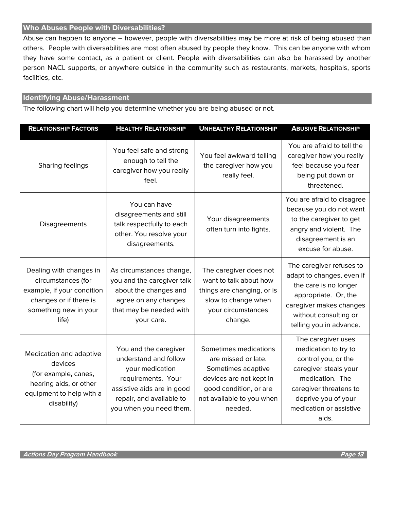#### **Who Abuses People with Diversabilities?**

Abuse can happen to anyone – however, people with diversabilities may be more at risk of being abused than others. People with diversabilities are most often abused by people they know. This can be anyone with whom they have some contact, as a patient or client. People with diversabilities can also be harassed by another person NACL supports, or anywhere outside in the community such as restaurants, markets, hospitals, sports facilities, etc.

#### **Identifying Abuse/Harassment**

The following chart will help you determine whether you are being abused or not.

| <b>RELATIONSHIP FACTORS</b>                                                                                                             | <b>HEALTHY RELATIONSHIP</b>                                                                                                                                                  | <b>UNHEALTHY RELATIONSHIP</b>                                                                                                                                   | <b>ABUSIVE RELATIONSHIP</b>                                                                                                                                                                        |
|-----------------------------------------------------------------------------------------------------------------------------------------|------------------------------------------------------------------------------------------------------------------------------------------------------------------------------|-----------------------------------------------------------------------------------------------------------------------------------------------------------------|----------------------------------------------------------------------------------------------------------------------------------------------------------------------------------------------------|
| Sharing feelings                                                                                                                        | You feel safe and strong<br>enough to tell the<br>caregiver how you really<br>feel.                                                                                          | You feel awkward telling<br>the caregiver how you<br>really feel.                                                                                               | You are afraid to tell the<br>caregiver how you really<br>feel because you fear<br>being put down or<br>threatened.                                                                                |
| Disagreements                                                                                                                           | You can have<br>disagreements and still<br>talk respectfully to each<br>other. You resolve your<br>disagreements.                                                            | Your disagreements<br>often turn into fights.                                                                                                                   | You are afraid to disagree<br>because you do not want<br>to the caregiver to get<br>angry and violent. The<br>disagreement is an<br>excuse for abuse.                                              |
| Dealing with changes in<br>circumstances (for<br>example, if your condition<br>changes or if there is<br>something new in your<br>life) | As circumstances change,<br>you and the caregiver talk<br>about the changes and<br>agree on any changes<br>that may be needed with<br>your care.                             | The caregiver does not<br>want to talk about how<br>things are changing, or is<br>slow to change when<br>your circumstances<br>change.                          | The caregiver refuses to<br>adapt to changes, even if<br>the care is no longer<br>appropriate. Or, the<br>caregiver makes changes<br>without consulting or<br>telling you in advance.              |
| Medication and adaptive<br>devices<br>(for example, canes,<br>hearing aids, or other<br>equipment to help with a<br>disability)         | You and the caregiver<br>understand and follow<br>your medication<br>requirements. Your<br>assistive aids are in good<br>repair, and available to<br>you when you need them. | Sometimes medications<br>are missed or late.<br>Sometimes adaptive<br>devices are not kept in<br>good condition, or are<br>not available to you when<br>needed. | The caregiver uses<br>medication to try to<br>control you, or the<br>caregiver steals your<br>medication. The<br>caregiver threatens to<br>deprive you of your<br>medication or assistive<br>aids. |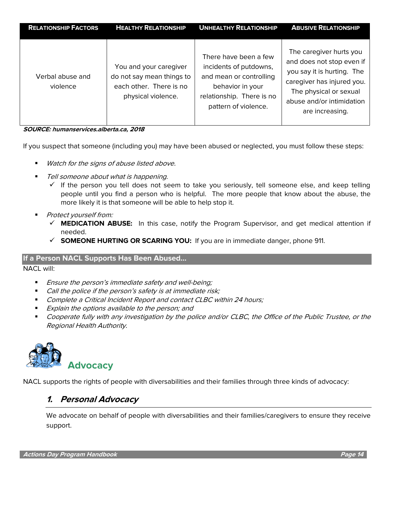| <b>RELATIONSHIP FACTORS</b>  | <b>HEALTHY RELATIONSHIP</b>                                                                          | <b>UNHEALTHY RELATIONSHIP</b>                                                                                                                       | <b>ABUSIVE RELATIONSHIP</b>                                                                                                                                                                |
|------------------------------|------------------------------------------------------------------------------------------------------|-----------------------------------------------------------------------------------------------------------------------------------------------------|--------------------------------------------------------------------------------------------------------------------------------------------------------------------------------------------|
| Verbal abuse and<br>violence | You and your caregiver<br>do not say mean things to<br>each other. There is no<br>physical violence. | There have been a few<br>incidents of putdowns,<br>and mean or controlling<br>behavior in your<br>relationship. There is no<br>pattern of violence. | The caregiver hurts you<br>and does not stop even if<br>you say it is hurting. The<br>caregiver has injured you.<br>The physical or sexual<br>abuse and/or intimidation<br>are increasing. |

**SOURCE: humanservices.alberta.ca, 2018**

If you suspect that someone (including you) may have been abused or neglected, you must follow these steps:

- Watch for the signs of abuse listed above.
- Tell someone about what is happening.
	- $\checkmark$  If the person you tell does not seem to take you seriously, tell someone else, and keep telling people until you find a person who is helpful. The more people that know about the abuse, the more likely it is that someone will be able to help stop it.
- Protect yourself from:
	- ✓ **MEDICATION ABUSE:** In this case, notify the Program Supervisor, and get medical attention if needed.
	- ✓ **SOMEONE HURTING OR SCARING YOU:** If you are in immediate danger, phone 911.

#### **If a Person NACL Supports Has Been Abused…**

NACL will:

- Ensure the person's immediate safety and well-being;
- Call the police if the person's safety is at immediate risk;
- Complete a Critical Incident Report and contact CLBC within 24 hours;
- Explain the options available to the person; and
- Cooperate fully with any investigation by the police and/or CLBC, the Office of the Public Trustee, or the Regional Health Authority.



NACL supports the rights of people with diversabilities and their families through three kinds of advocacy:

#### **1. Personal Advocacy**

We advocate on behalf of people with diversabilities and their families/caregivers to ensure they receive support.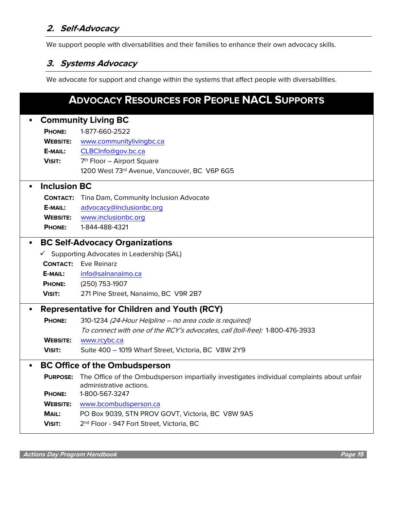#### **2. Self-Advocacy**

We support people with diversabilities and their families to enhance their own advocacy skills.

#### **3. Systems Advocacy**

We advocate for support and change within the systems that affect people with diversabilities.

#### **ADVOCACY RESOURCES FOR PEOPLE NACL SUPPORTS** ▪ **Community Living BC PHONE:** 1-877-660-2522 **WEBSITE:** [www.communitylivingbc.ca](http://www.communitylivingbc.ca/) **E-MAIL:** [CLBCInfo@gov.bc.ca](mailto:CLBCInfo@gov.bc.ca) **VISIT:** 7  $7<sup>th</sup>$  Floor – Airport Square 1200 West 73rd Avenue, Vancouver, BC V6P 6G5 **Inclusion BC CONTACT:** Tina Dam, Community Inclusion Advocate **E-MAIL:** [advocacy@inclusionbc.org](mailto:advocacy@inclusionbc.org) **WEBSITE:** [www.inclusionbc.org](http://www.inclusionbc.org/) **PHONE:** 1-844-488-4321 ▪ **BC Self-Advocacy Organizations**   $\checkmark$  Supporting Advocates in Leadership (SAL) **CONTACT:** Eve Reinarz **E-MAIL:** [info@salnanaimo.ca](mailto:info@salnanaimo.ca) **PHONE:** (250) 753-1907 **VISIT:** 271 Pine Street, Nanaimo, BC V9R 2B7 ▪ **Representative for Children and Youth (RCY) PHONE:** 310-1234 (24-Hour Helpline – no area code is required) To connect with one of the RCY's advocates, call (toll-free): 1-800-476-3933 **WEBSITE:** [www.rcybc.ca](http://www.rcybc.ca/) **VISIT:** Suite 400 – 1019 Wharf Street, Victoria, BC V8W 2Y9 ▪ **BC Office of the Ombudsperson PURPOSE:** The Office of the Ombudsperson impartially investigates individual complaints about unfair administrative actions. **PHONE:** 1-800-567-3247 **WEBSITE:** [www.bcombudsperson.ca](http://www.bcombudsperson.ca/) **MAIL:** PO Box 9039, STN PROV GOVT, Victoria, BC V8W 9A5 **VISIT:** 2 2<sup>nd</sup> Floor - 947 Fort Street, Victoria, BC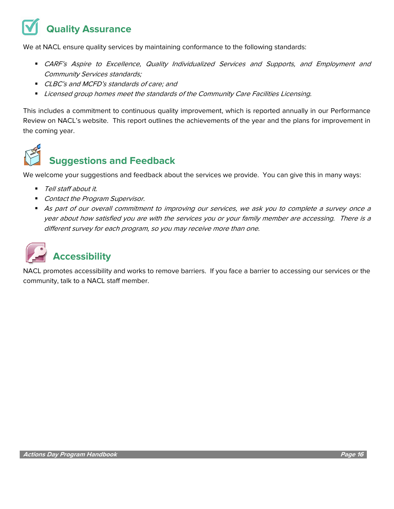# **Quality Assurance**

We at NACL ensure quality services by maintaining conformance to the following standards:

- **CARF's Aspire to Excellence, Quality Individualized Services and Supports, and Employment and** Community Services standards;
- CLBC's and MCFD's standards of care; and
- Licensed group homes meet the standards of the Community Care Facilities Licensing.

This includes a commitment to continuous quality improvement, which is reported annually in our Performance Review on NACL's website. This report outlines the achievements of the year and the plans for improvement in the coming year.



## **Suggestions and Feedback**

We welcome your suggestions and feedback about the services we provide. You can give this in many ways:

- Tell staff about it.
- Contact the Program Supervisor.
- As part of our overall commitment to improving our services, we ask you to complete a survey once a year about how satisfied you are with the services you or your family member are accessing. There is a different survey for each program, so you may receive more than one.



NACL promotes accessibility and works to remove barriers. If you face a barrier to accessing our services or the community, talk to a NACL staff member.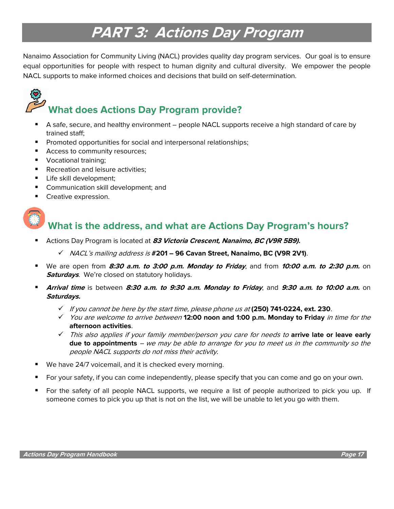## **PART 3: Actions Day Program**

Nanaimo Association for Community Living (NACL) provides quality day program services. Our goal is to ensure equal opportunities for people with respect to human dignity and cultural diversity. We empower the people NACL supports to make informed choices and decisions that build on self-determination.

# **What does Actions Day Program provide?**

- A safe, secure, and healthy environment people NACL supports receive a high standard of care by trained staff;
- Promoted opportunities for social and interpersonal relationships;
- Access to community resources;
- Vocational training;
- Recreation and leisure activities;
- **E** Life skill development;
- Communication skill development; and
- Creative expression.



#### **What is the address, and what are Actions Day Program's hours?**

- Actions Day Program is located at 83 Victoria Crescent, Nanaimo, BC (V9R 5B9).
	- ✓ NACL's mailing address is **#201 – 96 Cavan Street, Nanaimo, BC (V9R 2V1)**.
- We are open from 8:30 a.m. to 3:00 p.m. Monday to Friday, and from 10:00 a.m. to 2:30 p.m. on **Saturdays**. We're closed on statutory holidays.
- **Arrival time** is between **8:30 a.m. to 9:30 a.m. Monday to Friday**, and **9:30 a.m. to 10:00 a.m.** on **Saturdays.**
	- ✓ If you cannot be here by the start time, please phone us at **(250) 741-0224, ext. 230**.
	- ✓ You are welcome to arrive between **12:00 noon and 1:00 p.m. Monday to Friday** in time for the **afternoon activities**.
	- ✓ This also applies if your family member/person you care for needs to **arrive late or leave early due to appointments** – we may be able to arrange for you to meet us in the community so the people NACL supports do not miss their activity.
- We have 24/7 voicemail, and it is checked every morning.
- For your safety, if you can come independently, please specify that you can come and go on your own.
- For the safety of all people NACL supports, we require a list of people authorized to pick you up. If someone comes to pick you up that is not on the list, we will be unable to let you go with them.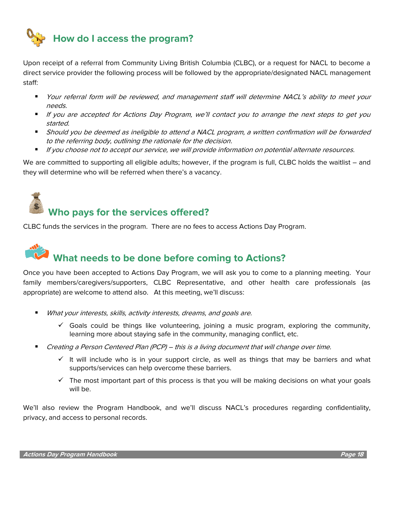

Upon receipt of a referral from Community Living British Columbia (CLBC), or a request for NACL to become a direct service provider the following process will be followed by the appropriate/designated NACL management staff:

- Your referral form will be reviewed, and management staff will determine NACL's ability to meet your needs.
- If you are accepted for Actions Day Program, we'll contact you to arrange the next steps to get you started.
- Should you be deemed as ineligible to attend a NACL program, a written confirmation will be forwarded to the referring body, outlining the rationale for the decision.
- If you choose not to accept our service, we will provide information on potential alternate resources.

We are committed to supporting all eligible adults; however, if the program is full, CLBC holds the waitlist – and they will determine who will be referred when there's a vacancy.

# **Who pays for the services offered?**

CLBC funds the services in the program. There are no fees to access Actions Day Program.

# **What needs to be done before coming to Actions?**

Once you have been accepted to Actions Day Program, we will ask you to come to a planning meeting. Your family members/caregivers/supporters, CLBC Representative, and other health care professionals (as appropriate) are welcome to attend also. At this meeting, we'll discuss:

- What your interests, skills, activity interests, dreams, and goals are.
	- $\checkmark$  Goals could be things like volunteering, joining a music program, exploring the community, learning more about staying safe in the community, managing conflict, etc.
- Creating a Person Centered Plan (PCP) this is a living document that will change over time.
	- $\checkmark$  It will include who is in your support circle, as well as things that may be barriers and what supports/services can help overcome these barriers.
	- $\checkmark$  The most important part of this process is that you will be making decisions on what your goals will be.

We'll also review the Program Handbook, and we'll discuss NACL's procedures regarding confidentiality, privacy, and access to personal records.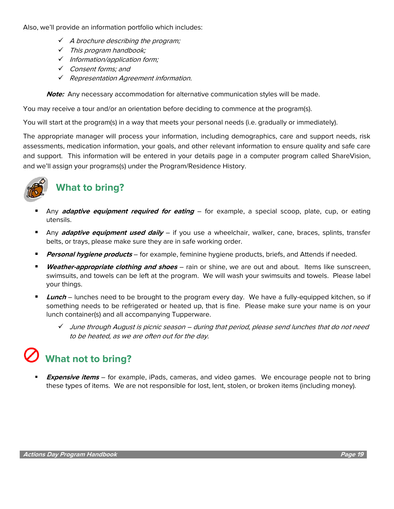Also, we'll provide an information portfolio which includes:

- $\checkmark$  A brochure describing the program;
- ✓ This program handbook;
- ✓ Information/application form;
- ✓ Consent forms; and
- ✓ Representation Agreement information.

**Note:** Any necessary accommodation for alternative communication styles will be made.

You may receive a tour and/or an orientation before deciding to commence at the program(s).

You will start at the program(s) in a way that meets your personal needs (i.e. gradually or immediately).

The appropriate manager will process your information, including demographics, care and support needs, risk assessments, medication information, your goals, and other relevant information to ensure quality and safe care and support. This information will be entered in your details page in a computer program called ShareVision, and we'll assign your programs(s) under the Program/Residence History.



## **What to bring?**

- Any **adaptive equipment required for eating** for example, a special scoop, plate, cup, or eating utensils.
- Any **adaptive equipment used daily** if you use a wheelchair, walker, cane, braces, splints, transfer belts, or trays, please make sure they are in safe working order.
- **Personal hygiene products** for example, feminine hygiene products, briefs, and Attends if needed.
- **Weather-appropriate clothing and shoes** rain or shine, we are out and about. Items like sunscreen, swimsuits, and towels can be left at the program. We will wash your swimsuits and towels. Please label your things.
- **Lunch** lunches need to be brought to the program every day. We have a fully-equipped kitchen, so if something needs to be refrigerated or heated up, that is fine. Please make sure your name is on your lunch container(s) and all accompanying Tupperware.
	- ✓ June through August is picnic season during that period, please send lunches that do not need to be heated, as we are often out for the day.

## **What not to bring?**

**Expensive items** – for example, iPads, cameras, and video games. We encourage people not to bring these types of items. We are not responsible for lost, lent, stolen, or broken items (including money).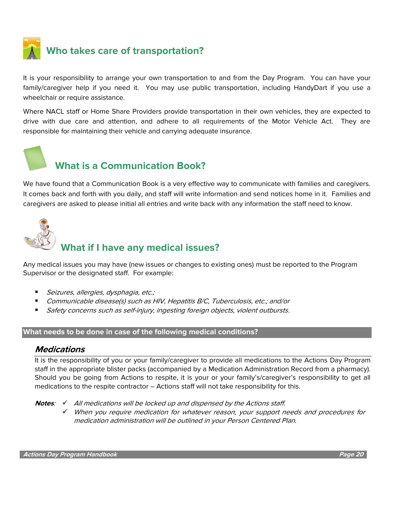

## **Who takes care of transportation?**

It is your responsibility to arrange your own transportation to and from the Day Program. You can have your family/caregiver help if you need it. You may use public transportation, including HandyDart if you use a wheelchair or require assistance.

Where NACL staff or Home Share Providers provide transportation in their own vehicles, they are expected to drive with due care and attention, and adhere to all requirements of the Motor Vehicle Act. They are responsible for maintaining their vehicle and carrying adequate insurance.



#### **What is a Communication Book?**

We have found that a Communication Book is a very effective way to communicate with families and caregivers. It comes back and forth with you daily, and staff will write information and send notices home in it. Families and caregivers are asked to please initial all entries and write back with any information the staff need to know.



## **What if I have any medical issues?**

Any medical issues you may have (new issues or changes to existing ones) must be reported to the Program Supervisor or the designated staff. For example:

- Seizures, allergies, dysphagia, etc.;
- Communicable disease(s) such as HIV, Hepatitis B/C, Tuberculosis, etc.; and/or
- Safety concerns such as self-injury, ingesting foreign objects, violent outbursts.

#### **What needs to be done in case of the following medical conditions?**

#### **Medications**

It is the responsibility of you or your family/caregiver to provide all medications to the Actions Day Program staff in the appropriate blister packs (accompanied by a Medication Administration Record from a pharmacy). Should you be going from Actions to respite, it is your or your family's/caregiver's responsibility to get all medications to the respite contractor – Actions staff will not take responsibility for this.

- **Notes**: ✓ All medications will be locked up and dispensed by the Actions staff.
	- ✓ When you require medication for whatever reason, your support needs and procedures for medication administration will be outlined in your Person Centered Plan.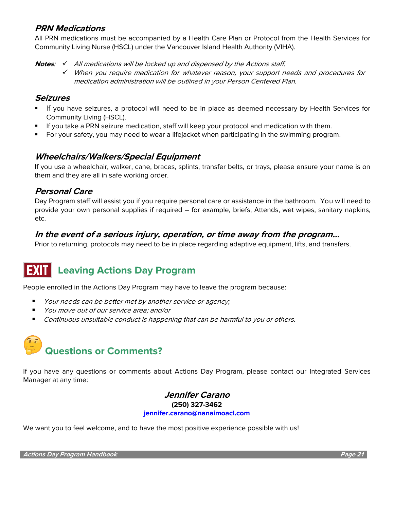#### **PRN Medications**

All PRN medications must be accompanied by a Health Care Plan or Protocol from the Health Services for Community Living Nurse (HSCL) under the Vancouver Island Health Authority (VIHA).

**Notes**: ✓ All medications will be locked up and dispensed by the Actions staff.

✓ When you require medication for whatever reason, your support needs and procedures for medication administration will be outlined in your Person Centered Plan.

#### **Seizures**

- **.** If you have seizures, a protocol will need to be in place as deemed necessary by Health Services for Community Living (HSCL).
- **■** If you take a PRN seizure medication, staff will keep your protocol and medication with them.
- For your safety, you may need to wear a lifejacket when participating in the swimming program.

#### **Wheelchairs/Walkers/Special Equipment**

If you use a wheelchair, walker, cane, braces, splints, transfer belts, or trays, please ensure your name is on them and they are all in safe working order.

#### **Personal Care**

Day Program staff will assist you if you require personal care or assistance in the bathroom. You will need to provide your own personal supplies if required – for example, briefs, Attends, wet wipes, sanitary napkins, etc.

#### **In the event of a serious injury, operation, or time away from the program…**

Prior to returning, protocols may need to be in place regarding adaptive equipment, lifts, and transfers.

## **Leaving Actions Day Program**

People enrolled in the Actions Day Program may have to leave the program because:

- Your needs can be better met by another service or agency;
- *You move out of our service area: and/or*
- Continuous unsuitable conduct is happening that can be harmful to you or others.

# **Questions or Comments?**

If you have any questions or comments about Actions Day Program, please contact our Integrated Services Manager at any time:

> **Jennifer Carano (250) 327-3462 [jennifer.carano@nanaimoacl.com](mailto:jennifer.carano@nanaimoacl.com)**

We want you to feel welcome, and to have the most positive experience possible with us!